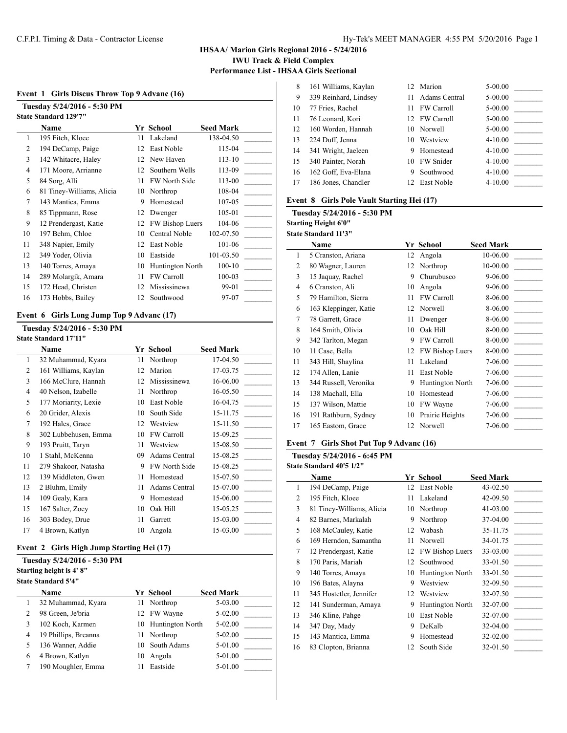### **IHSAA/ Marion Girls Regional 2016 - 5/24/2016 IWU Track & Field Complex Performance List - IHSAA Girls Sectional**

#### **Event 1 Girls Discus Throw Top 9 Advanc (16)**

| Tuesday 5/24/2016 - 5:30 PM |                              |    |                        |                  |  |  |
|-----------------------------|------------------------------|----|------------------------|------------------|--|--|
|                             | <b>State Standard 129'7"</b> |    |                        |                  |  |  |
|                             | Name                         |    | Yr School              | <b>Seed Mark</b> |  |  |
| 1                           | 195 Fitch, Kloee             | 11 | Lakeland               | 138-04.50        |  |  |
| 2                           | 194 DeCamp, Paige            | 12 | East Noble             | 115-04           |  |  |
| 3                           | 142 Whitacre, Haley          | 12 | New Haven              | $113 - 10$       |  |  |
| 4                           | 171 Moore, Arrianne          | 12 | Southern Wells         | 113-09           |  |  |
| 5                           | 84 Sorg, Alli                | 11 | <b>FW North Side</b>   | 113-00           |  |  |
| 6                           | 81 Tiney-Williams, Alicia    | 10 | Northrop               | 108-04           |  |  |
| 7                           | 143 Mantica, Emma            | 9  | Homestead              | 107-05           |  |  |
| 8                           | 85 Tippmann, Rose            | 12 | Dwenger                | 105-01           |  |  |
| 9                           | 12 Prendergast, Katie        | 12 | <b>FW Bishop Luers</b> | 104-06           |  |  |
| 10                          | 197 Behm, Chloe              | 10 | Central Noble          | 102-07.50        |  |  |
| 11                          | 348 Napier, Emily            | 12 | East Noble             | 101-06           |  |  |
| 12                          | 349 Yoder, Olivia            | 10 | Eastside               | 101-03.50        |  |  |
| 13                          | 140 Torres, Amaya            | 10 | Huntington North       | $100 - 10$       |  |  |
| 14                          | 289 Molargik, Amara          | 11 | <b>FW Carroll</b>      | 100-03           |  |  |
| 15                          | 172 Head, Christen           | 12 | Mississinewa           | 99-01            |  |  |
| 16                          | 173 Hobbs, Bailey            | 12 | Southwood              | 97-07            |  |  |

### **Event 6 Girls Long Jump Top 9 Advanc (17)**

#### **Tuesday 5/24/2016 - 5:30 PM State Standard 17'11"**

|    | маце маниаги 17 11   |    |                      |                  |
|----|----------------------|----|----------------------|------------------|
|    | Name                 |    | Yr School            | <b>Seed Mark</b> |
| 1  | 32 Muhammad, Kyara   | 11 | Northrop             | 17-04.50         |
| 2  | 161 Williams, Kaylan | 12 | Marion               | 17-03.75         |
| 3  | 166 McClure, Hannah  | 12 | Mississinewa         | 16-06.00         |
| 4  | 40 Nelson, Izabelle  | 11 | Northrop             | 16-05.50         |
| 5  | 177 Moriarity, Lexie | 10 | East Noble           | 16-04.75         |
| 6  | 20 Grider, Alexis    | 10 | South Side           | 15-11.75         |
| 7  | 192 Hales, Grace     | 12 | Westview             | 15-11.50         |
| 8  | 302 Lubbehusen, Emma | 10 | <b>FW Carroll</b>    | 15-09.25         |
| 9  | 193 Pruitt, Taryn    | 11 | Westview             | 15-08.50         |
| 10 | 1 Stahl, McKenna     | 09 | Adams Central        | 15-08.25         |
| 11 | 279 Shakoor, Natasha | 9  | <b>FW North Side</b> | 15-08.25         |
| 12 | 139 Middleton, Gwen  | 11 | Homestead            | 15-07.50         |
| 13 | 2 Bluhm, Emily       | 11 | Adams Central        | 15-07.00         |
| 14 | 109 Gealy, Kara      | 9  | Homestead            | 15-06.00         |
| 15 | 167 Salter, Zoey     | 10 | Oak Hill             | 15-05.25         |
| 16 | 303 Bodey, Drue      | 11 | Garrett              | 15-03.00         |
| 17 | 4 Brown, Katlyn      | 10 | Angola               | 15-03.00         |
|    |                      |    |                      |                  |

### **Event 2 Girls High Jump Starting Hei (17)**

### **Tuesday 5/24/2016 - 5:30 PM**

**Starting height is 4' 8"**

|   | <b>State Standard 5'4"</b> |     |                     |                  |  |  |
|---|----------------------------|-----|---------------------|------------------|--|--|
|   | <b>Name</b>                |     | Yr School           | <b>Seed Mark</b> |  |  |
|   | 32 Muhammad, Kyara         | 11  | Northrop            | $5 - 03.00$      |  |  |
| 2 | 98 Green, Je'bria          |     | 12 FW Wayne         | $5 - 02.00$      |  |  |
| 3 | 102 Koch, Karmen           |     | 10 Huntington North | $5 - 02.00$      |  |  |
| 4 | 19 Phillips, Breanna       | 11. | Northrop            | $5 - 02.00$      |  |  |
| 5 | 136 Wanner, Addie          | 10  | South Adams         | 5-01.00          |  |  |
| 6 | 4 Brown, Katlyn            | 10  | Angola              | $5-01.00$        |  |  |

7 190 Moughler, Emma 11 Eastside 5-01.00

| 8  | 161 Williams, Kaylan  |    | 12 Marion         | 5-00.00     |
|----|-----------------------|----|-------------------|-------------|
| 9  | 339 Reinhard, Lindsey | 11 | Adams Central     | $5-00.00$   |
| 10 | 77 Fries, Rachel      | 11 | <b>FW Carroll</b> | $5 - 00.00$ |
| 11 | 76 Leonard, Kori      |    | 12 FW Carroll     | $5-00.00$   |
| 12 | 160 Worden, Hannah    |    | 10 Norwell        | $5 - 00.00$ |
| 13 | 224 Duff, Jenna       | 10 | Westview          | $4 - 10.00$ |
| 14 | 341 Wright, Jaeleen   | 9  | Homestead         | $4 - 10.00$ |
| 15 | 340 Painter, Norah    | 10 | FW Snider         | $4 - 10.00$ |
| 16 | 162 Goff, Eva-Elana   | 9  | Southwood         | $4 - 10.00$ |
| 17 | 186 Jones, Chandler   |    | 12 East Noble     | $4 - 10.00$ |
|    |                       |    |                   |             |

### **Event 8 Girls Pole Vault Starting Hei (17)**

**Tuesday 5/24/2016 - 5:30 PM**

#### **Starting Height 6'0" State Standard 11'3"**

|    | гате мандаги 11 э     |    |                         |                  |
|----|-----------------------|----|-------------------------|------------------|
|    | Name                  |    | Yr School               | <b>Seed Mark</b> |
| 1  | 5 Cranston, Ariana    | 12 | Angola                  | 10-06.00         |
| 2  | 80 Wagner, Lauren     | 12 | Northrop                | 10-00.00         |
| 3  | 15 Jaquay, Rachel     | 9  | Churubusco              | $9 - 06.00$      |
| 4  | 6 Cranston, Ali       | 10 | Angola                  | 9-06.00          |
| 5  | 79 Hamilton, Sierra   | 11 | <b>FW Carroll</b>       | 8-06.00          |
| 6  | 163 Kleppinger, Katie | 12 | Norwell                 | 8-06.00          |
| 7  | 78 Garrett, Grace     | 11 | Dwenger                 | 8-06.00          |
| 8  | 164 Smith, Olivia     | 10 | Oak Hill                | 8-00.00          |
| 9  | 342 Tarlton, Megan    | 9  | <b>FW Carroll</b>       | 8-00.00          |
| 10 | 11 Case, Bella        | 12 | FW Bishop Luers         | 8-00.00          |
| 11 | 343 Hill, Shaylina    | 11 | Lakeland                | 7-06.00          |
| 12 | 174 Allen, Lanie      | 11 | East Noble              | 7-06.00          |
| 13 | 344 Russell, Veronika | 9  | <b>Huntington North</b> | 7-06.00          |
| 14 | 138 Machall, Ella     | 10 | Homestead               | 7-06.00          |
| 15 | 137 Wilson, Mattie    | 10 | FW Wayne                | 7-06.00          |
| 16 | 191 Rathburn, Sydney  | 10 | Prairie Heights         | 7-06.00          |
| 17 | 165 Eastom, Grace     | 12 | Norwell                 | 7-06.00          |
|    |                       |    |                         |                  |

### **Event 7 Girls Shot Put Top 9 Advanc (16)**

**Tuesday 5/24/2016 - 6:45 PM**

| <b>State Standard 40'5 1/2''</b> |  |
|----------------------------------|--|
|----------------------------------|--|

 $\overline{\phantom{a}}$ 

|    | Name                      |    | Yr School        | <b>Seed Mark</b> |
|----|---------------------------|----|------------------|------------------|
| 1  | 194 DeCamp, Paige         | 12 | East Noble       | 43-02.50         |
| 2  | 195 Fitch, Kloee          | 11 | Lakeland         | 42-09.50         |
| 3  | 81 Tiney-Williams, Alicia | 10 | Northrop         | $41 - 03.00$     |
| 4  | 82 Barnes, Markalah       | 9  | Northrop         | 37-04.00         |
| 5  | 168 McCauley, Katie       | 12 | Wabash           | 35-11.75         |
| 6  | 169 Herndon, Samantha     | 11 | Norwell          | 34-01.75         |
| 7  | 12 Prendergast, Katie     | 12 | FW Bishop Luers  | 33-03.00         |
| 8  | 170 Paris, Mariah         | 12 | Southwood        | 33-01.50         |
| 9  | 140 Torres, Amaya         | 10 | Huntington North | 33-01.50         |
| 10 | 196 Bates, Alayna         | 9  | Westview         | 32-09.50         |
| 11 | 345 Hostetler, Jennifer   | 12 | Westview         | 32-07.50         |
| 12 | 141 Sunderman, Amaya      | 9  | Huntington North | 32-07.00         |
| 13 | 346 Kline, Pahge          | 10 | East Noble       | 32-07.00         |
| 14 | 347 Day, Mady             | 9  | DeKalb           | 32-04.00         |
| 15 | 143 Mantica, Emma         | 9  | Homestead        | 32-02.00         |
| 16 | 83 Clopton, Brianna       | 12 | South Side       | 32-01.50         |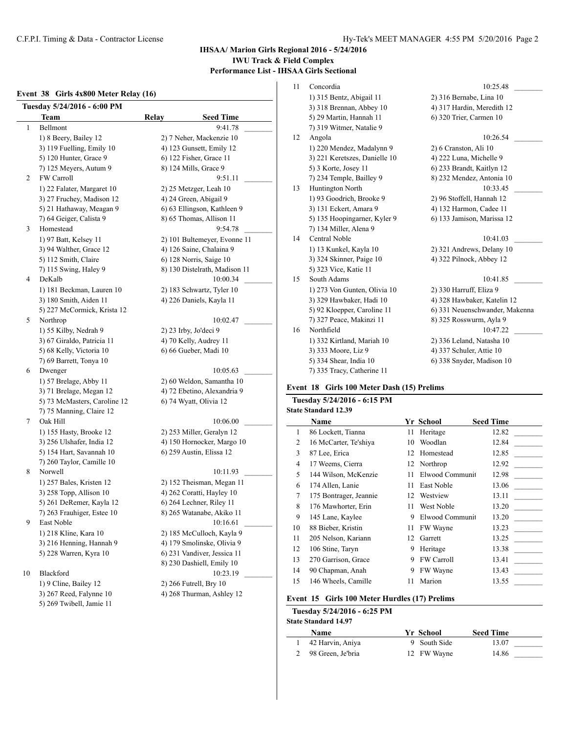# **IHSAA/ Marion Girls Regional 2016 - 5/24/2016 IWU Track & Field Complex Performance List - IHSAA Girls Sectional**

## **Event 38 Girls 4x800 Meter Relay (16)**

| Tuesday 5/24/2016 - 6:00 PM |                              |              |                               |  |  |  |  |
|-----------------------------|------------------------------|--------------|-------------------------------|--|--|--|--|
|                             | Team                         | <b>Relay</b> | <b>Seed Time</b>              |  |  |  |  |
| 1                           | Bellmont                     |              | 9:41.78                       |  |  |  |  |
|                             | 1) 8 Beery, Bailey 12        |              | 2) 7 Neher, Mackenzie 10      |  |  |  |  |
|                             | 3) 119 Fuelling, Emily 10    |              | 4) 123 Gunsett, Emily 12      |  |  |  |  |
|                             | 5) 120 Hunter, Grace 9       |              | 6) 122 Fisher, Grace 11       |  |  |  |  |
|                             | 7) 125 Meyers, Autum 9       |              | 8) 124 Mills, Grace 9         |  |  |  |  |
| 2                           | FW Carroll                   |              | 9:51.11                       |  |  |  |  |
|                             | 1) 22 Falater, Margaret 10   |              | 2) 25 Metzger, Leah 10        |  |  |  |  |
|                             | 3) 27 Fruchey, Madison 12    |              | 4) 24 Green, Abigail 9        |  |  |  |  |
|                             | 5) 21 Hathaway, Meagan 9     |              | 6) 63 Ellingson, Kathleen 9   |  |  |  |  |
|                             | 7) 64 Geiger, Calista 9      |              | 8) 65 Thomas, Allison 11      |  |  |  |  |
| 3                           | Homestead                    |              | 9:54.78                       |  |  |  |  |
|                             | 1) 97 Batt, Kelsey 11        |              | 2) 101 Bultemeyer, Evonne 11  |  |  |  |  |
|                             | 3) 94 Walther, Grace 12      |              | 4) 126 Saine, Chalaina 9      |  |  |  |  |
|                             | 5) 112 Smith, Claire         |              | 6) 128 Norris, Saige 10       |  |  |  |  |
|                             | 7) 115 Swing, Haley 9        |              | 8) 130 Distelrath, Madison 11 |  |  |  |  |
| 4                           | DeKalb                       |              | 10:00.34                      |  |  |  |  |
|                             | 1) 181 Beckman, Lauren 10    |              | 2) 183 Schwartz, Tyler 10     |  |  |  |  |
|                             | 3) 180 Smith, Aiden 11       |              | 4) 226 Daniels, Kayla 11      |  |  |  |  |
|                             | 5) 227 McCormick, Krista 12  |              |                               |  |  |  |  |
| 5                           | Northrop                     |              | 10:02.47                      |  |  |  |  |
|                             | 1) 55 Kilby, Nedrah 9        |              | $2)$ 23 Irby, Jo'deci 9       |  |  |  |  |
|                             | 3) 67 Giraldo, Patricia 11   |              | 4) 70 Kelly, Audrey 11        |  |  |  |  |
|                             | 5) 68 Kelly, Victoria 10     |              | 6) 66 Gueber, Madi 10         |  |  |  |  |
|                             | 7) 69 Barrett, Tonya 10      |              |                               |  |  |  |  |
| 6                           | Dwenger                      |              | 10:05.63                      |  |  |  |  |
|                             | 1) 57 Brelage, Abby 11       |              | 2) 60 Weldon, Samantha 10     |  |  |  |  |
|                             | 3) 71 Brelage, Megan 12      |              | 4) 72 Ebetino, Alexandria 9   |  |  |  |  |
|                             | 5) 73 McMasters, Caroline 12 |              | 6) 74 Wyatt, Olivia 12        |  |  |  |  |
|                             | 7) 75 Manning, Claire 12     |              |                               |  |  |  |  |
| 7                           | Oak Hill                     |              | 10:06.00                      |  |  |  |  |
|                             | 1) 155 Hasty, Brooke 12      |              | 2) 253 Miller, Geralyn 12     |  |  |  |  |
|                             | 3) 256 Ulshafer, India 12    |              | 4) 150 Hornocker, Margo 10    |  |  |  |  |
|                             | 5) 154 Hart, Savannah 10     |              | 6) 259 Austin, Elissa 12      |  |  |  |  |
|                             | 7) 260 Taylor, Camille 10    |              |                               |  |  |  |  |
| 8                           | Norwell                      |              | 10:11.93                      |  |  |  |  |
|                             | 1) 257 Bales, Kristen 12     |              | 2) 152 Theisman, Megan 11     |  |  |  |  |
|                             | 3) 258 Topp, Allison 10      |              | 4) 262 Coratti, Hayley 10     |  |  |  |  |
|                             | 5) 261 DeRemer, Kayla 12     |              | 6) 264 Lechner, Riley 11      |  |  |  |  |
|                             | 7) 263 Frauhiger, Estee 10   |              | 8) 265 Watanabe, Akiko 11     |  |  |  |  |
| 9                           | East Noble                   |              | 10:16.61                      |  |  |  |  |
|                             | 1) 218 Kline, Kara 10        |              | 2) 185 McCulloch, Kayla 9     |  |  |  |  |
|                             | 3) 216 Henning, Hannah 9     |              | 4) 179 Smolinske, Olivia 9    |  |  |  |  |
|                             | 5) 228 Warren, Kyra 10       |              | 6) 231 Vandiver, Jessica 11   |  |  |  |  |
|                             |                              |              | 8) 230 Dashiell, Emily 10     |  |  |  |  |
| 10                          | Blackford                    |              | 10:23.19                      |  |  |  |  |
|                             | 1) 9 Cline, Bailey 12        |              | 2) 266 Futrell, Bry 10        |  |  |  |  |
|                             | 3) 267 Reed, Falynne 10      |              | 4) 268 Thurman, Ashley 12     |  |  |  |  |
|                             | 5) 269 Twibell, Jamie 11     |              |                               |  |  |  |  |

| Concordia                     | 10:25.48                       |
|-------------------------------|--------------------------------|
| 1) 315 Bentz, Abigail 11      | 2) 316 Bernabe, Lina 10        |
| 3) 318 Brennan, Abbey 10      | 4) 317 Hardin, Meredith 12     |
| 5) 29 Martin, Hannah 11       | 6) 320 Trier, Carmen 10        |
| 7) 319 Witmer, Natalie 9      |                                |
| Angola                        | 10:26.54                       |
| 1) 220 Mendez, Madalynn 9     | 2) 6 Cranston, Ali 10          |
| 3) 221 Keretszes, Danielle 10 | 4) 222 Luna, Michelle 9        |
| 5) 3 Korte, Josey 11          | 6) 233 Brandt, Kaitlyn 12      |
| 7) 234 Temple, Bailley 9      | 8) 232 Mendez, Antonia 10      |
| Huntington North              | 10:33.45                       |
| 1) 93 Goodrich, Brooke 9      | 2) 96 Stoffell, Hannah 12      |
| 3) 131 Eckert, Amara 9        | 4) 132 Harmon, Cadee 11        |
|                               | 6) 133 Jamison, Marissa 12     |
| 7) 134 Miller, Alena 9        |                                |
| Central Noble                 | 10:41.03                       |
| 1) 13 Kunkel, Kayla 10        | 2) 321 Andrews, Delany 10      |
| 3) 324 Skinner, Paige 10      | 4) 322 Pilnock, Abbey 12       |
| 5) 323 Vice, Katie 11         |                                |
| South Adams                   | 10:41.85                       |
| 1) 273 Von Gunten, Olivia 10  | 2) 330 Harruff, Eliza 9        |
| 3) 329 Hawbaker, Hadi 10      | 4) 328 Hawbaker, Katelin 12    |
| 5) 92 Kloepper, Caroline 11   | 6) 331 Neuenschwander, Makenna |
| 7) 327 Peace, Makinzi 11      | 8) 325 Rosswurm, Ayla 9        |
| Northfield                    | 10:47.22                       |
| 1) 332 Kirtland, Mariah 10    | 2) 336 Leland, Natasha 10      |
| 3) 333 Moore, Liz 9           | 4) 337 Schuler, Attie 10       |
| 5) 334 Shear, India 10        | 6) 338 Snyder, Madison 10      |
| 7) 335 Tracy, Catherine 11    |                                |
|                               | 5) 135 Hoopingarner, Kyler 9   |

### **Event 18 Girls 100 Meter Dash (15) Prelims**

### **Tuesday 5/24/2016 - 6:15 PM State Standard 12.39**

|    | Name                   |    | Yr School         | <b>Seed Time</b> |
|----|------------------------|----|-------------------|------------------|
| 1  | 86 Lockett, Tianna     | 11 | Heritage          | 12.82            |
| 2  | 16 McCarter, Te'shiya  | 10 | Woodlan           | 12.84            |
| 3  | 87 Lee, Erica          | 12 | Homestead         | 12.85            |
| 4  | 17 Weems, Cierra       | 12 | Northrop          | 12.92            |
| 5  | 144 Wilson, McKenzie   | 11 | Elwood Communit   | 12.98            |
| 6  | 174 Allen, Lanie       | 11 | East Noble        | 13.06            |
| 7  | 175 Bontrager, Jeannie | 12 | Westview          | 13.11            |
| 8  | 176 Mawhorter, Erin    | 11 | West Noble        | 13.20            |
| 9  | 145 Lane, Kaylee       | 9  | Elwood Communit   | 13.20            |
| 10 | 88 Bieber, Kristin     | 11 | FW Wayne          | 13.23            |
| 11 | 205 Nelson, Kariann    | 12 | Garrett           | 13.25            |
| 12 | 106 Stine, Taryn       | 9  | Heritage          | 13.38            |
| 13 | 270 Garrison, Grace    | 9  | <b>FW Carroll</b> | 13.41            |
| 14 | 90 Chapman, Anah       | 9  | FW Wayne          | 13.43            |
| 15 | 146 Wheels, Camille    | 11 | Marion            | 13.55            |

### **Event 15 Girls 100 Meter Hurdles (17) Prelims**

# **Tuesday 5/24/2016 - 6:25 PM**

**State Standard 14.97**

| <b>Name</b>         | Yr School    | <b>Seed Time</b> |  |
|---------------------|--------------|------------------|--|
| 42 Harvin, Aniya    | 9 South Side | 13.07            |  |
| 2 98 Green, Je'bria | 12 FW Wayne  | 14.86            |  |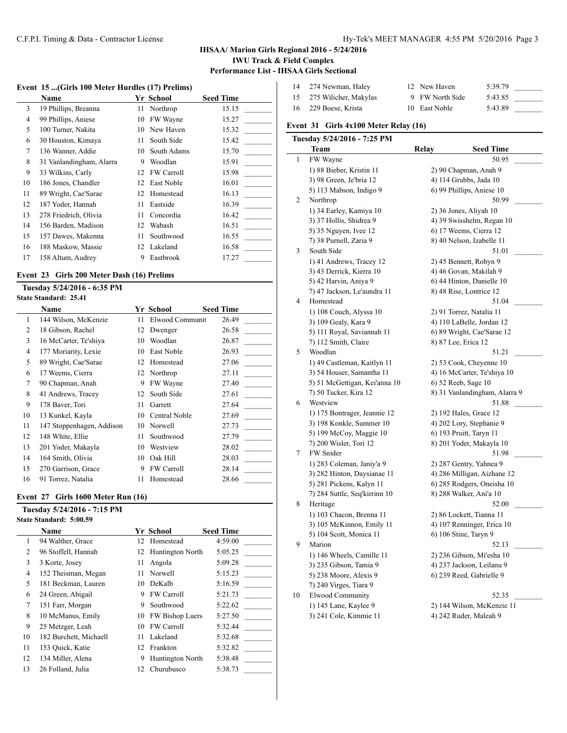### C.F.P.I. Timing & Data - Contractor License Hy-Tek's MEET MANAGER 4:55 PM 5/20/2016 Page 3

### **IHSAA/ Marion Girls Regional 2016 - 5/24/2016 IWU Track & Field Complex Performance List - IHSAA Girls Sectional**

 $\overline{1}$ 

### **Event 15 ...(Girls 100 Meter Hurdles (17) Prelims)**

|        | Name                     |    | Yr School    | <b>Seed Time</b> |
|--------|--------------------------|----|--------------|------------------|
| 3      | 19 Phillips, Breanna     | 11 | Northrop     | 15.15            |
| 4      | 99 Phillips, Aniese      | 10 | FW Wayne     | 15.27            |
| 5      | 100 Turner, Nakita       | 10 | New Haven    | 15.32            |
| 6      | 30 Houston, Kimaya       | 11 | South Side   | 15.42            |
| $\tau$ | 136 Wanner, Addie        | 10 | South Adams  | 15.70            |
| 8      | 31 Vanlandingham, Alarra | 9  | Woodlan      | 15.91            |
| 9      | 33 Wilkins, Carly        | 12 | FW Carroll   | 15.98            |
| 10     | 186 Jones, Chandler      | 12 | East Noble   | 16.01            |
| 11     | 89 Wright, Cae'Sarae     |    | 12 Homestead | 16.13            |
| 12     | 187 Yoder, Hannah        | 11 | Eastside     | 16.39            |
| 13     | 278 Friedrich, Olivia    | 11 | Concordia    | 16.42            |
| 14     | 156 Barden, Madison      | 12 | Wabash       | 16.51            |
| 15     | 157 Dawes, Makenna       | 11 | Southwood    | 16.55            |
| 16     | 188 Maskow, Massie       | 12 | Lakeland     | 16.58            |
| 17     | 158 Altum, Audrey        | 9  | Eastbrook    | 17.27            |
|        |                          |    |              |                  |

# **Event 23 Girls 200 Meter Dash (16) Prelims**

### **Tuesday 5/24/2016 - 6:35 PM State Standard: 25.41**

|    | <b>Name</b>               |    | Yr School         | <b>Seed Time</b> |
|----|---------------------------|----|-------------------|------------------|
| 1  | 144 Wilson, McKenzie      | 11 | Elwood Communit   | 26.49            |
| 2  | 18 Gibson, Rachel         | 12 | Dwenger           | 26.58            |
| 3  | 16 McCarter, Te'shiya     | 10 | Woodlan           | 26.87            |
| 4  | 177 Moriarity, Lexie      | 10 | East Noble        | 26.93            |
| 5  | 89 Wright, Cae'Sarae      | 12 | Homestead         | 27.06            |
| 6  | 17 Weems, Cierra          | 12 | Northrop          | 27.11            |
| 7  | 90 Chapman, Anah          | 9  | FW Wayne          | 27.40            |
| 8  | 41 Andrews, Tracey        | 12 | South Side        | 27.61            |
| 9  | 178 Baver, Tori           | 11 | Garrett           | 27.64            |
| 10 | 13 Kunkel, Kayla          | 10 | Central Noble     | 27.69            |
| 11 | 147 Stoppenhagen, Addison | 10 | Norwell           | 27.73            |
| 12 | 148 White, Ellie          | 11 | Southwood         | 27.79            |
| 13 | 201 Yoder, Makayla        | 10 | Westview          | 28.02            |
| 14 | 164 Smith, Olivia         | 10 | Oak Hill          | 28.03            |
| 15 | 270 Garrison, Grace       | 9  | <b>FW Carroll</b> | 28.14            |
| 16 | 91 Torrez, Natalia        | 11 | Homestead         | 28.66            |

### **Event 27 Girls 1600 Meter Run (16)**

# **Tuesday 5/24/2016 - 7:15 PM State Standard: 5:00.59**

|                | Name                   |     | <b>Yr School</b>    | <b>Seed Time</b> |
|----------------|------------------------|-----|---------------------|------------------|
| 1              | 94 Walther, Grace      |     | 12 Homestead        | 4:59.00          |
| $\overline{c}$ | 96 Stoffell, Hannah    |     | 12 Huntington North | 5:05.25          |
| 3              | 3 Korte, Josey         | 11  | Angola              | 5:09.28          |
| 4              | 152 Theisman, Megan    | 11  | Norwell             | 5:15.23          |
| 5              | 181 Beckman, Lauren    | 10  | DeKalb              | 5:16.59          |
| 6              | 24 Green, Abigail      | 9   | <b>FW Carroll</b>   | 5:21.73          |
| 7              | 151 Farr, Morgan       | 9   | Southwood           | 5:22.62          |
| 8              | 10 McManus, Emily      |     | 10 FW Bishop Luers  | 5:27.50          |
| 9              | 25 Metzger, Leah       | 10  | <b>FW Carroll</b>   | 5:32.44          |
| 10             | 182 Burchett, Michaell | 11  | Lakeland            | 5:32.68          |
| 11             | 153 Quick, Katie       |     | 12 Frankton         | 5:32.82          |
| 12             | 134 Miller, Alena      | 9   | Huntington North    | 5:38.48          |
| 13             | 26 Folland, Julia      | 12. | Churubusco          | 5:38.73          |

| 14 274 Newman, Haley     | 12 New Haven    | 5:39.79 |  |
|--------------------------|-----------------|---------|--|
| 15 275 Wilicher, Makylas | 9 FW North Side | 5:43.85 |  |
| 16 229 Boese, Krista     | 10 East Noble   | 5:43.89 |  |

### **Event 31 Girls 4x100 Meter Relay (16)**

|    | Tuesday 5/24/2016 - 7:25 PM   |       |                               |
|----|-------------------------------|-------|-------------------------------|
|    | Team                          | Relay | Seed Time                     |
| 1  | FW Wayne                      |       | 50.95                         |
|    | 1) 88 Bieber, Kristin 11      |       | 2) 90 Chapman, Anah 9         |
|    | 3) 98 Green, Je'bria 12       |       | 4) 114 Grubbs, Jada 10        |
|    | 5) 113 Mabson, Indigo 9       |       | 6) 99 Phillips, Aniese 10     |
| 2  | Northrop                      |       | 50.99                         |
|    | 1) 34 Earley, Kamiya 10       |       | 2) 36 Jones, Aliyah 10        |
|    | 3) 37 Hollis, Shidrea 9       |       | 4) 39 Swisshelm, Regan 10     |
|    | 5) 35 Nguyen, Ivee 12         |       | 6) 17 Weems, Cierra 12        |
|    | 7) 38 Purnell, Zaria 9        |       | 8) 40 Nelson, Izabelle 11     |
| 3  | South Side                    |       | 51.01                         |
|    | 1) 41 Andrews, Tracey 12      |       | 2) 45 Bennett, Robyn 9        |
|    | 3) 43 Derrick, Kierra 10      |       | 4) 46 Govan, Makilah 9        |
|    | 5) 42 Harvin, Aniya 9         |       | 6) 44 Hinton, Danielle 10     |
|    | 7) 47 Jackson, Le'aundra 11   |       | 8) 48 Rise, Lontrice 12       |
| 4  | Homestead                     |       | 51.04                         |
|    | 1) 108 Couch, Alyssa 10       |       | 2) 91 Torrez, Natalia 11      |
|    | 3) 109 Gealy, Kara 9          |       | 4) 110 LaBelle, Jordan 12     |
|    | 5) 111 Royal, Saviannah 11    |       | 6) 89 Wright, Cae'Sarae 12    |
|    | 7) 112 Smith, Claire          |       | 8) 87 Lee, Erica 12           |
| 5  | Woodlan                       |       | 51.21                         |
|    | 1) 49 Castleman, Kaitlyn 11   |       | 2) 53 Cook, Cheyenne 10       |
|    | 3) 54 Houser, Samantha 11     |       | 4) 16 McCarter, Te'shiya 10   |
|    | 5) 51 McGettigan, Kei'anna 10 |       | 6) 52 Reeb, Sage 10           |
|    | 7) 50 Tucker, Kira 12         |       | 8) 31 Vanlandingham, Alarra 9 |
| 6  | Westview                      |       | 51.88                         |
|    | 1) 175 Bontrager, Jeannie 12  |       | 2) 192 Hales, Grace 12        |
|    | 3) 198 Konkle, Summer 10      |       | 4) 202 Lory, Stephanie 9      |
|    | 5) 199 McCoy, Maggie 10       |       | 6) 193 Pruitt, Taryn 11       |
|    | 7) 200 Wisler, Tori 12        |       | 8) 201 Yoder, Makayla 10      |
| 7  | FW Snider                     |       | 51.98                         |
|    | 1) 283 Coleman, Janiy'a 9     |       | 2) 287 Gentry, Yahnea 9       |
|    | 3) 282 Hinton, Daysianae 11   |       | 4) 286 Milligan, Aizhane 12   |
|    | 5) 281 Pickens, Kalyn 11      |       | 6) 285 Rodgers, Oneisha 10    |
|    | 7) 284 Suttle, Seq'kirrinn 10 |       | 8) 288 Walker, Ani'a 10       |
| 8  | Heritage                      |       | 52.00                         |
|    | 1) 103 Chacon, Brenna 11      |       | 2) 86 Lockett, Tianna 11      |
|    | 3) 105 McKinnon, Emily 11     |       | 4) 107 Renninger, Erica 10    |
|    | 5) 104 Scott, Monica 11       |       | 6) 106 Stine, Taryn 9         |
| 9  | Marion                        |       | 52.13                         |
|    | 1) 146 Wheels, Camille 11     |       | 2) 236 Gibson, Mi'esha 10     |
|    | 3) 235 Gibson, Tamia 9        |       | 4) 237 Jackson, Leilanu 9     |
|    | 5) 238 Moore, Alexis 9        |       | 6) 239 Reed, Gabrielle 9      |
|    | 7) 240 Virges, Tiara 9        |       |                               |
| 10 | <b>Elwood Community</b>       |       | 52.35                         |
|    | 1) 145 Lane, Kaylee 9         |       | 2) 144 Wilson, McKenzie 11    |
|    | 3) 241 Cole, Kimmie 11        |       | 4) 242 Ruder, Maleah 9        |
|    |                               |       |                               |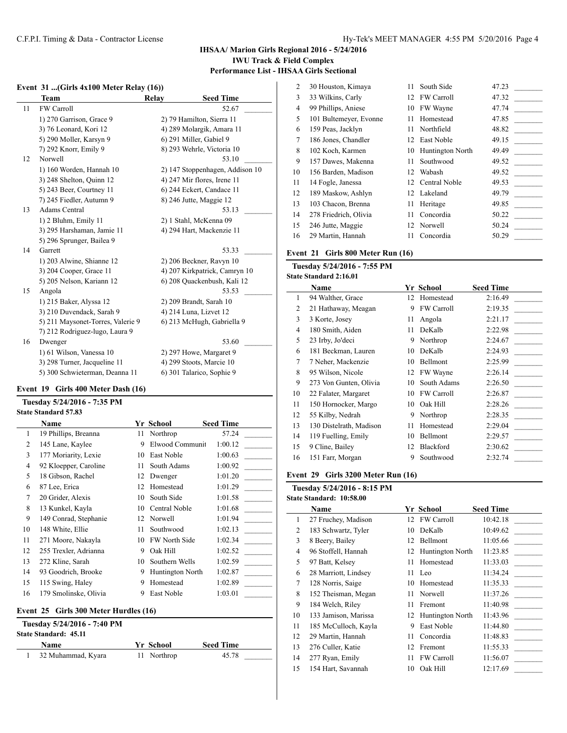### **IHSAA/ Marion Girls Regional 2016 - 5/24/2016 IWU Track & Field Complex Performance List - IHSAA Girls Sectional**

# **Event 31 ...(Girls 4x100 Meter Relay (16))**

|    | Team                              | Relay | <b>Seed Time</b>                |
|----|-----------------------------------|-------|---------------------------------|
| 11 | <b>FW Carroll</b>                 |       | 52.67                           |
|    | 1) 270 Garrison, Grace 9          |       | 2) 79 Hamilton, Sierra 11       |
|    | 3) 76 Leonard, Kori 12            |       | 4) 289 Molargik, Amara 11       |
|    | 5) 290 Moller, Karsyn 9           |       | 6) 291 Miller, Gabiel 9         |
|    | 7) 292 Knorr, Emily 9             |       | 8) 293 Wehrle, Victoria 10      |
| 12 | Norwell                           |       | 53.10                           |
|    | 1) 160 Worden, Hannah 10          |       | 2) 147 Stoppenhagen, Addison 10 |
|    | 3) 248 Shelton, Quinn 12          |       | 4) 247 Mir flores, Irene 11     |
|    | 5) 243 Beer, Courtney 11          |       | 6) 244 Eckert, Candace 11       |
|    | 7) 245 Fiedler, Autumn 9          |       | 8) 246 Jutte, Maggie 12         |
| 13 | Adams Central                     |       | 53.13                           |
|    | 1) 2 Bluhm, Emily 11              |       | 2) 1 Stahl, McKenna 09          |
|    | 3) 295 Harshaman, Jamie 11        |       | 4) 294 Hart, Mackenzie 11       |
|    | 5) 296 Sprunger, Bailea 9         |       |                                 |
| 14 | Garrett                           |       | 53.33                           |
|    | 1) 203 Alwine, Shianne 12         |       | 2) 206 Beckner, Ravyn 10        |
|    | 3) 204 Cooper, Grace 11           |       | 4) 207 Kirkpatrick, Camryn 10   |
|    | 5) 205 Nelson, Kariann 12         |       | 6) 208 Quackenbush, Kali 12     |
| 15 | Angola                            |       | 53.53                           |
|    | 1) 215 Baker, Alyssa 12           |       | 2) 209 Brandt, Sarah 10         |
|    | 3) 210 Duvendack, Sarah 9         |       | 4) 214 Luna, Lizvet 12          |
|    | 5) 211 Maysonet-Torres, Valerie 9 |       | 6) 213 McHugh, Gabriella 9      |
|    | 7) 212 Rodriguez-lugo, Laura 9    |       |                                 |
| 16 | Dwenger                           |       | 53.60                           |
|    | 1) 61 Wilson, Vanessa 10          |       | 2) 297 Howe, Margaret 9         |
|    | 3) 298 Turner, Jacqueline 11      |       | 4) 299 Stoots, Marcie 10        |
|    | 5) 300 Schwieterman, Deanna 11    |       | 6) 301 Talarico, Sophie 9       |
|    |                                   |       |                                 |

#### **Event 19 Girls 400 Meter Dash (16)**

#### **Tuesday 5/24/2016 - 7:35 PM State Standard 57.83**

|    | Name                                  |    | Yr School            | <b>Seed Time</b> |
|----|---------------------------------------|----|----------------------|------------------|
| 1  | 19 Phillips, Breanna                  | 11 | Northrop             | 57.24            |
| 2  | 145 Lane, Kaylee                      | 9  | Elwood Communit      | 1:00.12          |
| 3  | 177 Moriarity, Lexie                  | 10 | East Noble           | 1:00.63          |
| 4  | 92 Kloepper, Caroline                 | 11 | South Adams          | 1:00.92          |
| 5  | 18 Gibson, Rachel                     | 12 | Dwenger              | 1:01.20          |
| 6  | 87 Lee, Erica                         | 12 | Homestead            | 1:01.29          |
| 7  | 20 Grider, Alexis                     | 10 | South Side           | 1:01.58          |
| 8  | 13 Kunkel, Kayla                      | 10 | Central Noble        | 1:01.68          |
| 9  | 149 Conrad, Stephanie                 | 12 | Norwell              | 1:01.94          |
| 10 | 148 White, Ellie                      | 11 | Southwood            | 1:02.13          |
| 11 | 271 Moore, Nakayla                    | 10 | <b>FW North Side</b> | 1:02.34          |
| 12 | 255 Trexler, Adrianna                 | 9  | Oak Hill             | 1:02.52          |
| 13 | 272 Kline, Sarah                      | 10 | Southern Wells       | 1:02.59          |
| 14 | 93 Goodrich, Brooke                   | 9  | Huntington North     | 1:02.87          |
| 15 | 115 Swing, Haley                      | 9  | Homestead            | 1:02.89          |
| 16 | 179 Smolinske, Olivia                 | 9  | East Noble           | 1:03.01          |
|    | Event 25 Girls 300 Meter Hurdles (16) |    |                      |                  |

| Tuesday 5/24/2016 - 7:40 PM<br><b>State Standard: 45.11</b> |             |                  |
|-------------------------------------------------------------|-------------|------------------|
| Name                                                        | Yr School   | <b>Seed Time</b> |
| 32 Muhammad, Kyara                                          | 11 Northrop | 45.78            |

| $\overline{2}$ | 30 Houston, Kimaya     | 11 | South Side              | 47.23 |  |
|----------------|------------------------|----|-------------------------|-------|--|
| 3              | 33 Wilkins, Carly      | 12 | FW Carroll              | 47.32 |  |
| 4              | 99 Phillips, Aniese    | 10 | FW Wayne                | 47.74 |  |
| 5              | 101 Bultemeyer, Evonne | 11 | Homestead               | 47.85 |  |
| 6              | 159 Peas, Jacklyn      | 11 | Northfield              | 48.82 |  |
| 7              | 186 Jones, Chandler    | 12 | East Noble              | 49.15 |  |
| 8              | 102 Koch, Karmen       | 10 | <b>Huntington North</b> | 49.49 |  |
| 9              | 157 Dawes, Makenna     | 11 | Southwood               | 49.52 |  |
| 10             | 156 Barden, Madison    | 12 | Wabash                  | 49.52 |  |
| 11             | 14 Fogle, Janessa      | 12 | Central Noble           | 49.53 |  |
| 12             | 189 Maskow, Ashlyn     | 12 | Lakeland                | 49.79 |  |
| 13             | 103 Chacon, Brenna     | 11 | Heritage                | 49.85 |  |
| 14             | 278 Friedrich, Olivia  | 11 | Concordia               | 50.22 |  |
| 15             | 246 Jutte, Maggie      | 12 | Norwell                 | 50.24 |  |
| 16             | 29 Martin, Hannah      | 11 | Concordia               | 50.29 |  |

#### **Event 21 Girls 800 Meter Run (16)**

**Tuesday 5/24/2016 - 7:55 PM State Standard 2:16.01**

|                | 'tatt bianuai'u 4.10.01 |    |                   |                  |  |
|----------------|-------------------------|----|-------------------|------------------|--|
|                | Name                    |    | Yr School         | <b>Seed Time</b> |  |
| 1              | 94 Walther, Grace       | 12 | Homestead         | 2:16.49          |  |
| 2              | 21 Hathaway, Meagan     | 9  | <b>FW Carroll</b> | 2:19.35          |  |
| 3              | 3 Korte, Josey          | 11 | Angola            | 2:21.17          |  |
| $\overline{4}$ | 180 Smith, Aiden        | 11 | DeKalb            | 2:22.98          |  |
| 5              | 23 Irby, Jo'deci        | 9  | Northrop          | 2:24.67          |  |
| 6              | 181 Beckman, Lauren     | 10 | DeKalb            | 2:24.93          |  |
| 7              | 7 Neher, Mackenzie      | 10 | Bellmont          | 2:25.99          |  |
| 8              | 95 Wilson, Nicole       | 12 | FW Wayne          | 2:26.14          |  |
| 9              | 273 Von Gunten, Olivia  | 10 | South Adams       | 2:26.50          |  |
| 10             | 22 Falater, Margaret    | 10 | <b>FW Carroll</b> | 2:26.87          |  |
| 11             | 150 Hornocker, Margo    | 10 | Oak Hill          | 2:28.26          |  |
| 12             | 55 Kilby, Nedrah        | 9  | Northrop          | 2:28.35          |  |
| 13             | 130 Distelrath, Madison | 11 | Homestead         | 2:29.04          |  |
| 14             | 119 Fuelling, Emily     | 10 | Bellmont          | 2:29.57          |  |
| 15             | 9 Cline, Bailey         | 12 | Blackford         | 2:30.62          |  |
| 16             | 151 Farr, Morgan        | 9  | Southwood         | 2:32.74          |  |
|                |                         |    |                   |                  |  |

#### **Event 29 Girls 3200 Meter Run (16)**

# **Tuesday 5/24/2016 - 8:15 PM State Standard: 10:58.00 Name Yr School Seed Time** 1 27 Fruchey, Madison 12 FW Carroll 10:42.18 2 183 Schwartz, Tyler 10 DeKalb 10:49.62 3 8 Beery, Bailey 12 Bellmont 11:05.66 4 96 Stoffell, Hannah 12 Huntington North 11:23.85 5 97 Batt, Kelsey 11 Homestead 11:33.03 6 28 Marriott, Lindsey 11 Leo 11:34.24 \_\_\_\_\_\_\_\_\_ 7 128 Norris, Saige 10 Homestead 11:35.33 8 152 Theisman, Megan 11 Norwell 11:37.26 9 184 Welch, Riley 11 Fremont 11:40.98 10 133 Jamison, Marissa 12 Huntington North 11:43.96 11 185 McCulloch, Kayla 9 East Noble 11:44.80 12 29 Martin, Hannah 11 Concordia 11:48.83 \_\_\_\_\_\_\_\_\_ 13 276 Culler, Katie 12 Fremont 11:55.33

14 277 Ryan, Emily 11 FW Carroll 11:56.07

15 154 Hart, Savannah 10 Oak Hill 12:17.69 \_\_\_\_\_\_\_\_\_